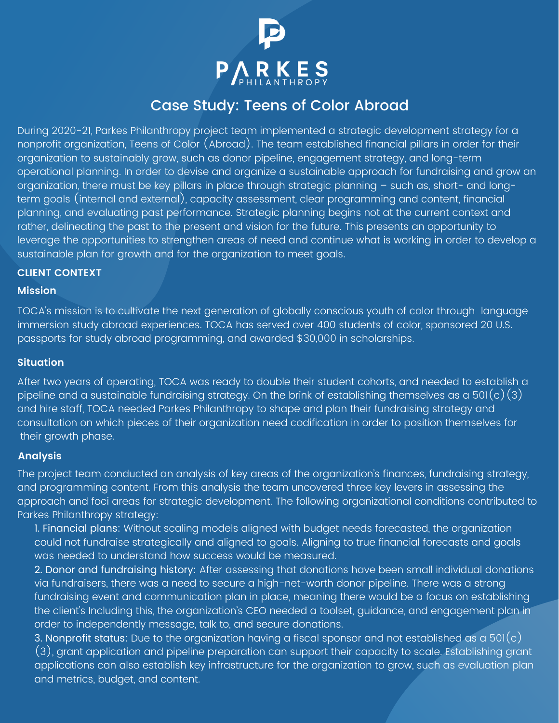

# Case Study: Teens of Color Abroad

During 2020-21, Parkes Philanthropy project team implemented a strategic development strategy for a nonprofit organization, Teens of Color (Abroad). The team established financial pillars in order for their organization to sustainably grow, such as donor pipeline, engagement strategy, and long-term operational planning. In order to devise and organize a sustainable approach for fundraising and grow an organization, there must be key pillars in place through strategic planning – such as, short- and longterm goals (internal and external), capacity assessment, clear programming and content, financial planning, and evaluating past performance. Strategic planning begins not at the current context and rather, delineating the past to the present and vision for the future. This presents an opportunity to leverage the opportunities to strengthen areas of need and continue what is working in order to develop a sustainable plan for growth and for the organization to meet goals.

## **CLIENT CONTEXT**

#### **Mission**

TOCA's mission is to cultivate the next generation of globally conscious youth of color through language immersion study abroad experiences. TOCA has served over 400 students of color, sponsored 20 U.S. passports for study abroad programming, and awarded \$30,000 in scholarships.

### **Situation**

After two years of operating, TOCA was ready to double their student cohorts, and needed to establish a pipeline and a sustainable fundraising strategy. On the brink of establishing themselves as a 501(c)(3) and hire staff, TOCA needed Parkes Philanthropy to shape and plan their fundraising strategy and consultation on which pieces of their organization need codification in order to position themselves for their growth phase.

#### **Analysis**

The project team conducted an analysis of key areas of the organization's finances, fundraising strategy, and programming content. From this analysis the team uncovered three key levers in assessing the approach and foci areas for strategic development. The following organizational conditions contributed to Parkes Philanthropy strategy:

1. Financial plans: Without scaling models aligned with budget needs forecasted, the organization could not fundraise strategically and aligned to goals. Aligning to true financial forecasts and goals was needed to understand how success would be measured.

2. Donor and fundraising history: After assessing that donations have been small individual donations via fundraisers, there was a need to secure a high-net-worth donor pipeline. There was a strong fundraising event and communication plan in place, meaning there would be a focus on establishing the client's Including this, the organization's CEO needed a toolset, guidance, and engagement plan in order to independently message, talk to, and secure donations.

3. Nonprofit status: Due to the organization having a fiscal sponsor and not established as a 501(c) (3), grant application and pipeline preparation can support their capacity to scale. Establishing grant applications can also establish key infrastructure for the organization to grow, such as evaluation plan and metrics, budget, and content.